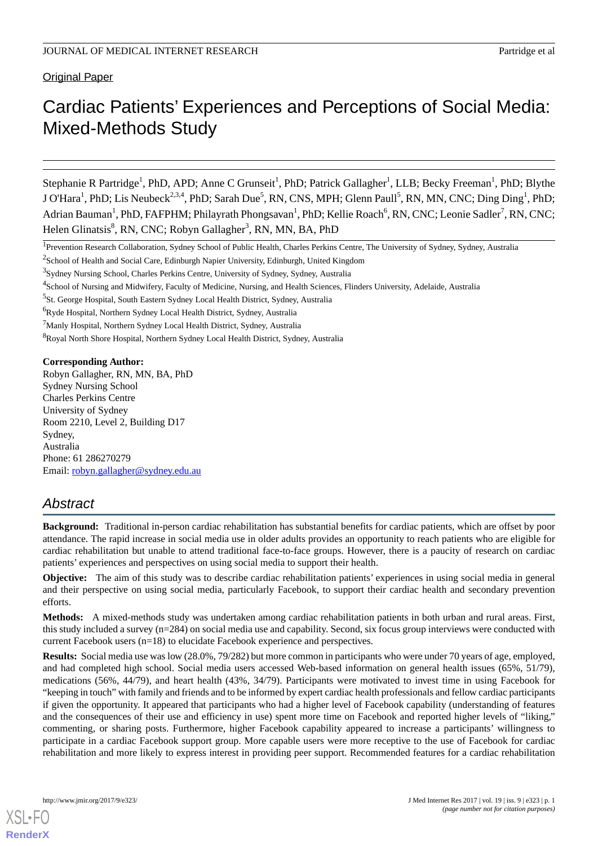Original Paper

# Cardiac Patients' Experiences and Perceptions of Social Media: Mixed-Methods Study

Stephanie R Partridge<sup>1</sup>, PhD, APD; Anne C Grunseit<sup>1</sup>, PhD; Patrick Gallagher<sup>1</sup>, LLB; Becky Freeman<sup>1</sup>, PhD; Blythe J O'Hara<sup>1</sup>, PhD; Lis Neubeck<sup>2,3,4</sup>, PhD; Sarah Due<sup>5</sup>, RN, CNS, MPH; Glenn Paull<sup>5</sup>, RN, MN, CNC; Ding Ding<sup>1</sup>, PhD; Adrian Bauman<sup>1</sup>, PhD, FAFPHM; Philayrath Phongsavan<sup>1</sup>, PhD; Kellie Roach<sup>6</sup>, RN, CNC; Leonie Sadler<sup>7</sup>, RN, CNC; Helen Glinatsis<sup>8</sup>, RN, CNC; Robyn Gallagher<sup>3</sup>, RN, MN, BA, PhD

<sup>8</sup>Royal North Shore Hospital, Northern Sydney Local Health District, Sydney, Australia

**Corresponding Author:**

Robyn Gallagher, RN, MN, BA, PhD Sydney Nursing School Charles Perkins Centre University of Sydney Room 2210, Level 2, Building D17 Sydney, Australia Phone: 61 286270279 Email: [robyn.gallagher@sydney.edu.au](mailto:robyn.gallagher@sydney.edu.au)

# *Abstract*

**Background:** Traditional in-person cardiac rehabilitation has substantial benefits for cardiac patients, which are offset by poor attendance. The rapid increase in social media use in older adults provides an opportunity to reach patients who are eligible for cardiac rehabilitation but unable to attend traditional face-to-face groups. However, there is a paucity of research on cardiac patients' experiences and perspectives on using social media to support their health.

**Objective:** The aim of this study was to describe cardiac rehabilitation patients' experiences in using social media in general and their perspective on using social media, particularly Facebook, to support their cardiac health and secondary prevention efforts.

**Methods:** A mixed-methods study was undertaken among cardiac rehabilitation patients in both urban and rural areas. First, this study included a survey (n=284) on social media use and capability. Second, six focus group interviews were conducted with current Facebook users (n=18) to elucidate Facebook experience and perspectives.

**Results:** Social media use was low (28.0%, 79/282) but more common in participants who were under 70 years of age, employed, and had completed high school. Social media users accessed Web-based information on general health issues (65%, 51/79), medications (56%, 44/79), and heart health (43%, 34/79). Participants were motivated to invest time in using Facebook for "keeping in touch" with family and friends and to be informed by expert cardiac health professionals and fellow cardiac participants if given the opportunity. It appeared that participants who had a higher level of Facebook capability (understanding of features and the consequences of their use and efficiency in use) spent more time on Facebook and reported higher levels of "liking," commenting, or sharing posts. Furthermore, higher Facebook capability appeared to increase a participants' willingness to participate in a cardiac Facebook support group. More capable users were more receptive to the use of Facebook for cardiac rehabilitation and more likely to express interest in providing peer support. Recommended features for a cardiac rehabilitation

<sup>&</sup>lt;sup>1</sup>Prevention Research Collaboration, Sydney School of Public Health, Charles Perkins Centre, The University of Sydney, Sydney, Australia

 $^{2}$ School of Health and Social Care, Edinburgh Napier University, Edinburgh, United Kingdom

<sup>&</sup>lt;sup>3</sup>Sydney Nursing School, Charles Perkins Centre, University of Sydney, Sydney, Australia

<sup>&</sup>lt;sup>4</sup>School of Nursing and Midwifery, Faculty of Medicine, Nursing, and Health Sciences, Flinders University, Adelaide, Australia

<sup>&</sup>lt;sup>5</sup>St. George Hospital, South Eastern Sydney Local Health District, Sydney, Australia

<sup>&</sup>lt;sup>6</sup>Ryde Hospital, Northern Sydney Local Health District, Sydney, Australia

<sup>7</sup>Manly Hospital, Northern Sydney Local Health District, Sydney, Australia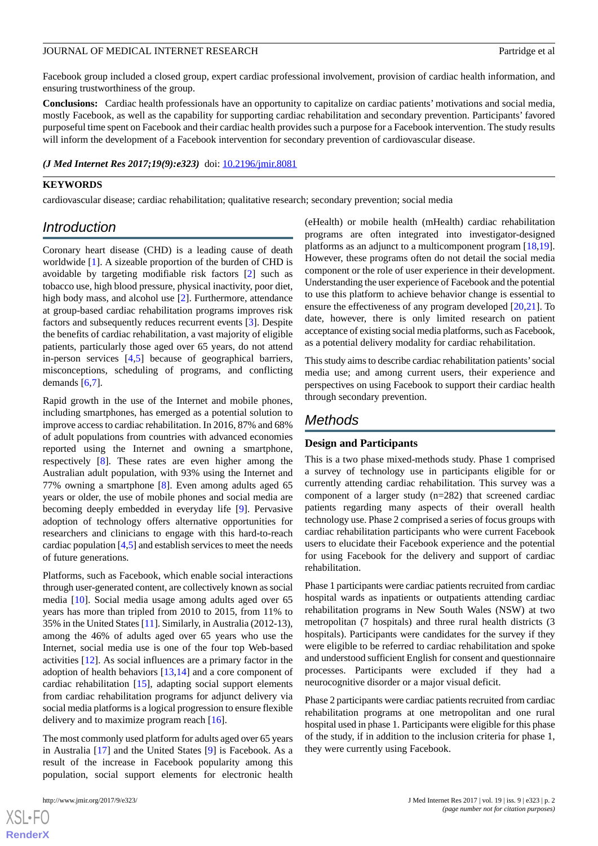Facebook group included a closed group, expert cardiac professional involvement, provision of cardiac health information, and ensuring trustworthiness of the group.

**Conclusions:** Cardiac health professionals have an opportunity to capitalize on cardiac patients' motivations and social media, mostly Facebook, as well as the capability for supporting cardiac rehabilitation and secondary prevention. Participants' favored purposeful time spent on Facebook and their cardiac health provides such a purpose for a Facebook intervention. The study results will inform the development of a Facebook intervention for secondary prevention of cardiovascular disease.

#### *(J Med Internet Res 2017;19(9):e323)* doi:  $10.2196/$ jmir.8081

#### **KEYWORDS**

cardiovascular disease; cardiac rehabilitation; qualitative research; secondary prevention; social media

## *Introduction*

Coronary heart disease (CHD) is a leading cause of death worldwide [\[1](#page-9-0)]. A sizeable proportion of the burden of CHD is avoidable by targeting modifiable risk factors [\[2](#page-9-1)] such as tobacco use, high blood pressure, physical inactivity, poor diet, high body mass, and alcohol use [\[2](#page-9-1)]. Furthermore, attendance at group-based cardiac rehabilitation programs improves risk factors and subsequently reduces recurrent events [[3\]](#page-9-2). Despite the benefits of cardiac rehabilitation, a vast majority of eligible patients, particularly those aged over 65 years, do not attend in-person services [[4,](#page-9-3)[5](#page-9-4)] because of geographical barriers, misconceptions, scheduling of programs, and conflicting demands [[6](#page-9-5)[,7](#page-9-6)].

Rapid growth in the use of the Internet and mobile phones, including smartphones, has emerged as a potential solution to improve access to cardiac rehabilitation. In 2016, 87% and 68% of adult populations from countries with advanced economies reported using the Internet and owning a smartphone, respectively [[8\]](#page-10-0). These rates are even higher among the Australian adult population, with 93% using the Internet and 77% owning a smartphone [[8\]](#page-10-0). Even among adults aged 65 years or older, the use of mobile phones and social media are becoming deeply embedded in everyday life [[9\]](#page-10-1). Pervasive adoption of technology offers alternative opportunities for researchers and clinicians to engage with this hard-to-reach cardiac population [\[4](#page-9-3),[5\]](#page-9-4) and establish services to meet the needs of future generations.

Platforms, such as Facebook, which enable social interactions through user-generated content, are collectively known as social media [\[10](#page-10-2)]. Social media usage among adults aged over 65 years has more than tripled from 2010 to 2015, from 11% to 35% in the United States [[11\]](#page-10-3). Similarly, in Australia (2012-13), among the 46% of adults aged over 65 years who use the Internet, social media use is one of the four top Web-based activities [\[12](#page-10-4)]. As social influences are a primary factor in the adoption of health behaviors [\[13](#page-10-5),[14\]](#page-10-6) and a core component of cardiac rehabilitation [\[15](#page-10-7)], adapting social support elements from cardiac rehabilitation programs for adjunct delivery via social media platforms is a logical progression to ensure flexible delivery and to maximize program reach [\[16](#page-10-8)].

The most commonly used platform for adults aged over 65 years in Australia [[17\]](#page-10-9) and the United States [\[9](#page-10-1)] is Facebook. As a result of the increase in Facebook popularity among this population, social support elements for electronic health

 $XS$ -FO **[RenderX](http://www.renderx.com/)** (eHealth) or mobile health (mHealth) cardiac rehabilitation programs are often integrated into investigator-designed platforms as an adjunct to a multicomponent program [\[18](#page-10-10),[19\]](#page-10-11). However, these programs often do not detail the social media component or the role of user experience in their development. Understanding the user experience of Facebook and the potential to use this platform to achieve behavior change is essential to ensure the effectiveness of any program developed [[20,](#page-10-12)[21](#page-10-13)]. To date, however, there is only limited research on patient acceptance of existing social media platforms, such as Facebook, as a potential delivery modality for cardiac rehabilitation.

This study aims to describe cardiac rehabilitation patients'social media use; and among current users, their experience and perspectives on using Facebook to support their cardiac health through secondary prevention.

## *Methods*

#### **Design and Participants**

This is a two phase mixed-methods study. Phase 1 comprised a survey of technology use in participants eligible for or currently attending cardiac rehabilitation. This survey was a component of a larger study (n=282) that screened cardiac patients regarding many aspects of their overall health technology use. Phase 2 comprised a series of focus groups with cardiac rehabilitation participants who were current Facebook users to elucidate their Facebook experience and the potential for using Facebook for the delivery and support of cardiac rehabilitation.

Phase 1 participants were cardiac patients recruited from cardiac hospital wards as inpatients or outpatients attending cardiac rehabilitation programs in New South Wales (NSW) at two metropolitan (7 hospitals) and three rural health districts (3 hospitals). Participants were candidates for the survey if they were eligible to be referred to cardiac rehabilitation and spoke and understood sufficient English for consent and questionnaire processes. Participants were excluded if they had a neurocognitive disorder or a major visual deficit.

Phase 2 participants were cardiac patients recruited from cardiac rehabilitation programs at one metropolitan and one rural hospital used in phase 1. Participants were eligible for this phase of the study, if in addition to the inclusion criteria for phase 1, they were currently using Facebook.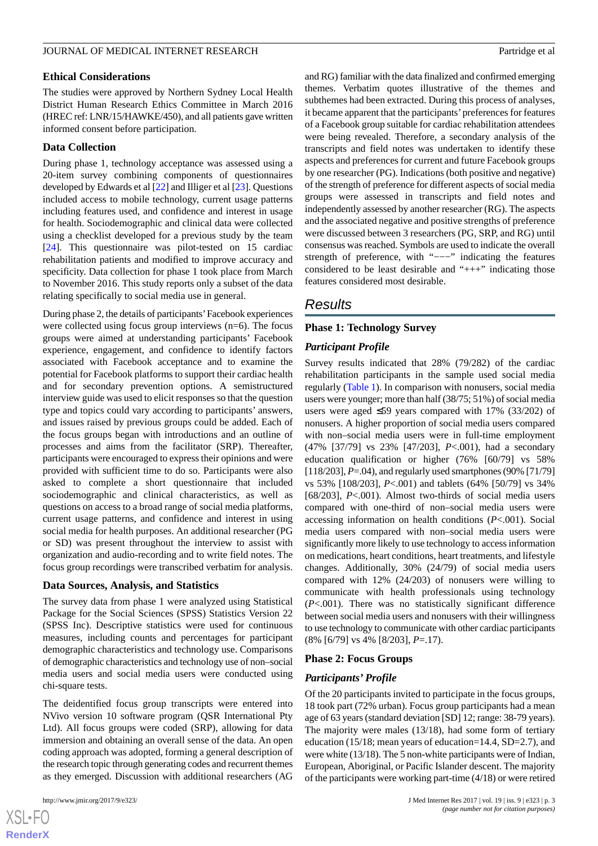#### **Ethical Considerations**

The studies were approved by Northern Sydney Local Health District Human Research Ethics Committee in March 2016 (HREC ref: LNR/15/HAWKE/450), and all patients gave written informed consent before participation.

## **Data Collection**

During phase 1, technology acceptance was assessed using a 20-item survey combining components of questionnaires developed by Edwards et al [\[22\]](#page-10-14) and Illiger et al [\[23](#page-10-15)]. Questions included access to mobile technology, current usage patterns including features used, and confidence and interest in usage for health. Sociodemographic and clinical data were collected using a checklist developed for a previous study by the team [[24\]](#page-10-16). This questionnaire was pilot-tested on 15 cardiac rehabilitation patients and modified to improve accuracy and specificity. Data collection for phase 1 took place from March to November 2016. This study reports only a subset of the data relating specifically to social media use in general.

During phase 2, the details of participants'Facebook experiences were collected using focus group interviews (n=6). The focus groups were aimed at understanding participants' Facebook experience, engagement, and confidence to identify factors associated with Facebook acceptance and to examine the potential for Facebook platforms to support their cardiac health and for secondary prevention options. A semistructured interview guide was used to elicit responses so that the question type and topics could vary according to participants' answers, and issues raised by previous groups could be added. Each of the focus groups began with introductions and an outline of processes and aims from the facilitator (SRP). Thereafter, participants were encouraged to express their opinions and were provided with sufficient time to do so. Participants were also asked to complete a short questionnaire that included sociodemographic and clinical characteristics, as well as questions on access to a broad range of social media platforms, current usage patterns, and confidence and interest in using social media for health purposes. An additional researcher (PG or SD) was present throughout the interview to assist with organization and audio-recording and to write field notes. The focus group recordings were transcribed verbatim for analysis.

#### **Data Sources, Analysis, and Statistics**

The survey data from phase 1 were analyzed using Statistical Package for the Social Sciences (SPSS) Statistics Version 22 (SPSS Inc). Descriptive statistics were used for continuous measures, including counts and percentages for participant demographic characteristics and technology use. Comparisons of demographic characteristics and technology use of non–social media users and social media users were conducted using chi-square tests.

The deidentified focus group transcripts were entered into NVivo version 10 software program (QSR International Pty Ltd). All focus groups were coded (SRP), allowing for data immersion and obtaining an overall sense of the data. An open coding approach was adopted, forming a general description of the research topic through generating codes and recurrent themes as they emerged. Discussion with additional researchers (AG

 $XS$ -FO **[RenderX](http://www.renderx.com/)** and RG) familiar with the data finalized and confirmed emerging themes. Verbatim quotes illustrative of the themes and subthemes had been extracted. During this process of analyses, it became apparent that the participants'preferences for features of a Facebook group suitable for cardiac rehabilitation attendees were being revealed. Therefore, a secondary analysis of the transcripts and field notes was undertaken to identify these aspects and preferences for current and future Facebook groups by one researcher (PG). Indications (both positive and negative) of the strength of preference for different aspects of social media groups were assessed in transcripts and field notes and independently assessed by another researcher (RG). The aspects and the associated negative and positive strengths of preference were discussed between 3 researchers (PG, SRP, and RG) until consensus was reached. Symbols are used to indicate the overall strength of preference, with "---" indicating the features considered to be least desirable and " $++$ " indicating those features considered most desirable.

## *Results*

## **Phase 1: Technology Survey**

## *Participant Profile*

Survey results indicated that 28% (79/282) of the cardiac rehabilitation participants in the sample used social media regularly [\(Table 1](#page-3-0)). In comparison with nonusers, social media users were younger; more than half (38/75; 51%) of social media users were aged  $\leq 59$  years compared with 17% (33/202) of nonusers. A higher proportion of social media users compared with non–social media users were in full-time employment (47% [37/79] vs 23% [47/203], *P*<.001), had a secondary education qualification or higher (76% [60/79] vs 58% [118/203], *P*=.04), and regularly used smartphones (90% [71/79] vs 53% [108/203], *P*<.001) and tablets (64% [50/79] vs 34% [68/203], *P*<.001). Almost two-thirds of social media users compared with one-third of non–social media users were accessing information on health conditions (*P*<.001). Social media users compared with non–social media users were significantly more likely to use technology to access information on medications, heart conditions, heart treatments, and lifestyle changes. Additionally, 30% (24/79) of social media users compared with 12% (24/203) of nonusers were willing to communicate with health professionals using technology (*P*<.001). There was no statistically significant difference between social media users and nonusers with their willingness to use technology to communicate with other cardiac participants (8% [6/79] vs 4% [8/203], *P*=.17).

#### **Phase 2: Focus Groups**

#### *Participants' Profile*

Of the 20 participants invited to participate in the focus groups, 18 took part (72% urban). Focus group participants had a mean age of 63 years (standard deviation [SD] 12; range: 38-79 years). The majority were males (13/18), had some form of tertiary education (15/18; mean years of education=14.4, SD=2.7), and were white (13/18). The 5 non-white participants were of Indian, European, Aboriginal, or Pacific Islander descent. The majority of the participants were working part-time (4/18) or were retired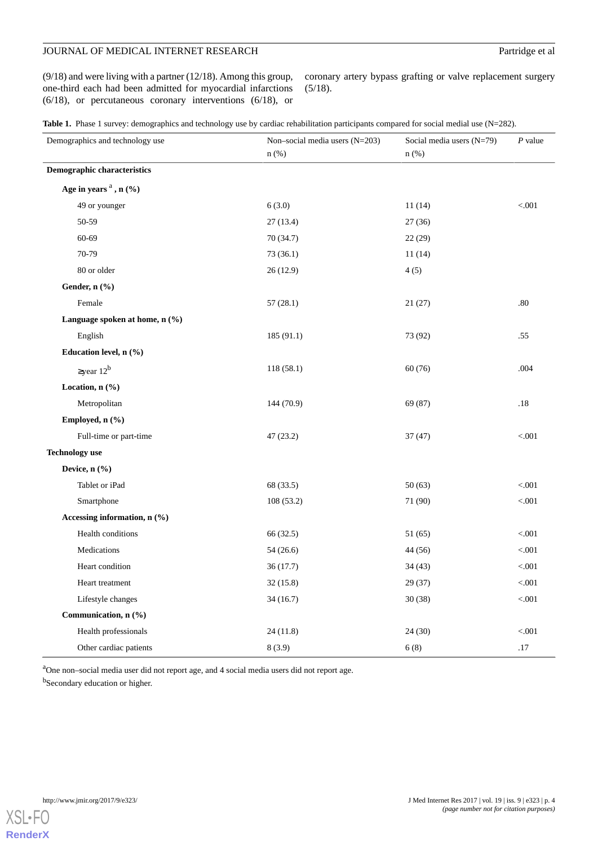## JOURNAL OF MEDICAL INTERNET RESEARCH Partridge et al

(9/18) and were living with a partner (12/18). Among this group, one-third each had been admitted for myocardial infarctions (6/18), or percutaneous coronary interventions (6/18), or

coronary artery bypass grafting or valve replacement surgery (5/18).

<span id="page-3-0"></span>

| Table 1. Phase 1 survey: demographics and technology use by cardiac rehabilitation participants compared for social medial use (N=282). |  |  |  |
|-----------------------------------------------------------------------------------------------------------------------------------------|--|--|--|
|-----------------------------------------------------------------------------------------------------------------------------------------|--|--|--|

| Demographics and technology use | Non-social media users (N=203)<br>n(%) | Social media users (N=79)<br>$n$ (%) | $P$ value |  |
|---------------------------------|----------------------------------------|--------------------------------------|-----------|--|
| Demographic characteristics     |                                        |                                      |           |  |
| Age in years $a$ , n $(%)$      |                                        |                                      |           |  |
| 49 or younger                   | 6(3.0)                                 | 11(14)                               | < 0.001   |  |
| 50-59                           | 27(13.4)                               | 27(36)                               |           |  |
| 60-69                           | 70 (34.7)                              | 22(29)                               |           |  |
| 70-79                           | 73 (36.1)                              | 11(14)                               |           |  |
| 80 or older                     | 26(12.9)                               | 4(5)                                 |           |  |
| Gender, n (%)                   |                                        |                                      |           |  |
| Female                          | 57(28.1)                               | 21(27)                               | .80       |  |
| Language spoken at home, n (%)  |                                        |                                      |           |  |
| English                         | 185 (91.1)                             | 73 (92)                              | .55       |  |
| Education level, n (%)          |                                        |                                      |           |  |
| $\geq$ year 12 <sup>b</sup>     | 118 (58.1)                             | 60(76)                               | .004      |  |
| Location, n (%)                 |                                        |                                      |           |  |
| Metropolitan                    | 144 (70.9)                             | 69 (87)                              | .18       |  |
| Employed, n (%)                 |                                        |                                      |           |  |
| Full-time or part-time          | 47 (23.2)                              | 37(47)                               | < .001    |  |
| <b>Technology</b> use           |                                        |                                      |           |  |
| Device, n (%)                   |                                        |                                      |           |  |
| Tablet or iPad                  | 68 (33.5)                              | 50(63)                               | < 0.001   |  |
| Smartphone                      | 108 (53.2)                             | 71 (90)                              | < 0.001   |  |
| Accessing information, n (%)    |                                        |                                      |           |  |
| Health conditions               | 66 (32.5)                              | 51 (65)                              | < .001    |  |
| Medications                     | 54(26.6)                               | 44 (56)                              | < 0.001   |  |
| Heart condition                 | 36(17.7)                               | 34(43)                               | < 0.001   |  |
| Heart treatment                 | 32(15.8)                               | 29(37)                               | < 0.001   |  |
| Lifestyle changes               | 34(16.7)                               | 30(38)                               | < 0.001   |  |
| Communication, n (%)            |                                        |                                      |           |  |
| Health professionals            | 24(11.8)                               | 24(30)                               | < .001    |  |
| Other cardiac patients          | 8(3.9)                                 | 6(8)                                 | .17       |  |

<sup>a</sup>One non–social media user did not report age, and 4 social media users did not report age.

<sup>b</sup>Secondary education or higher.

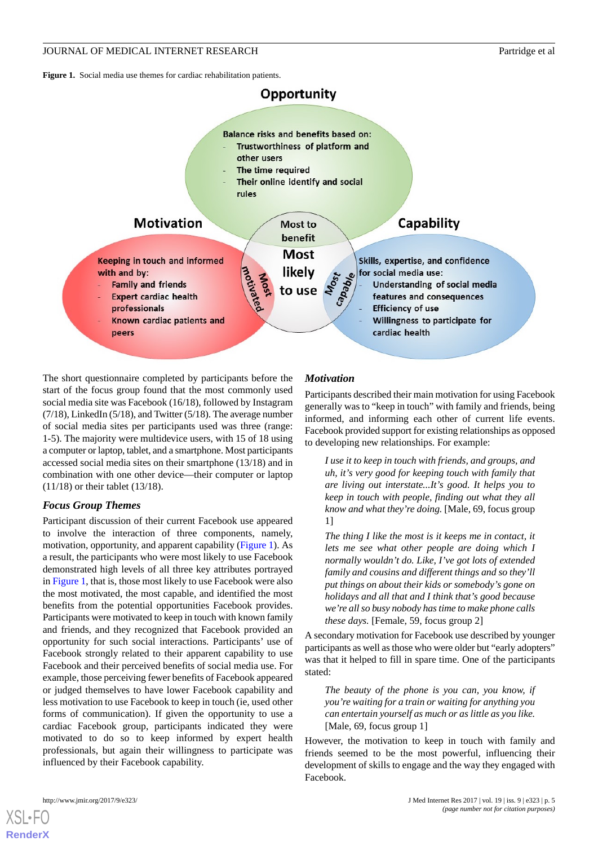<span id="page-4-0"></span>**Figure 1.** Social media use themes for cardiac rehabilitation patients.



The short questionnaire completed by participants before the start of the focus group found that the most commonly used social media site was Facebook (16/18), followed by Instagram  $(7/18)$ , LinkedIn  $(5/18)$ , and Twitter  $(5/18)$ . The average number of social media sites per participants used was three (range: 1-5). The majority were multidevice users, with 15 of 18 using a computer or laptop, tablet, and a smartphone. Most participants accessed social media sites on their smartphone (13/18) and in combination with one other device—their computer or laptop (11/18) or their tablet (13/18).

## *Focus Group Themes*

Participant discussion of their current Facebook use appeared to involve the interaction of three components, namely, motivation, opportunity, and apparent capability [\(Figure 1](#page-4-0)). As a result, the participants who were most likely to use Facebook demonstrated high levels of all three key attributes portrayed in [Figure 1,](#page-4-0) that is, those most likely to use Facebook were also the most motivated, the most capable, and identified the most benefits from the potential opportunities Facebook provides. Participants were motivated to keep in touch with known family and friends, and they recognized that Facebook provided an opportunity for such social interactions. Participants' use of Facebook strongly related to their apparent capability to use Facebook and their perceived benefits of social media use. For example, those perceiving fewer benefits of Facebook appeared or judged themselves to have lower Facebook capability and less motivation to use Facebook to keep in touch (ie, used other forms of communication). If given the opportunity to use a cardiac Facebook group, participants indicated they were motivated to do so to keep informed by expert health professionals, but again their willingness to participate was influenced by their Facebook capability.

## *Motivation*

Participants described their main motivation for using Facebook generally was to "keep in touch" with family and friends, being informed, and informing each other of current life events. Facebook provided support for existing relationships as opposed to developing new relationships. For example:

*I use it to keep in touch with friends, and groups, and uh, it's very good for keeping touch with family that are living out interstate...It's good. It helps you to keep in touch with people, finding out what they all know and what they're doing.* [Male, 69, focus group 1]

*The thing I like the most is it keeps me in contact, it lets me see what other people are doing which I normally wouldn't do. Like, I've got lots of extended family and cousins and different things and so they'll put things on about their kids or somebody's gone on holidays and all that and I think that's good because we're all so busy nobody has time to make phone calls these days.* [Female, 59, focus group 2]

A secondary motivation for Facebook use described by younger participants as well as those who were older but "early adopters" was that it helped to fill in spare time. One of the participants stated:

*The beauty of the phone is you can, you know, if you're waiting for a train or waiting for anything you can entertain yourself as much or as little as you like.* [Male, 69, focus group 1]

However, the motivation to keep in touch with family and friends seemed to be the most powerful, influencing their development of skills to engage and the way they engaged with Facebook.

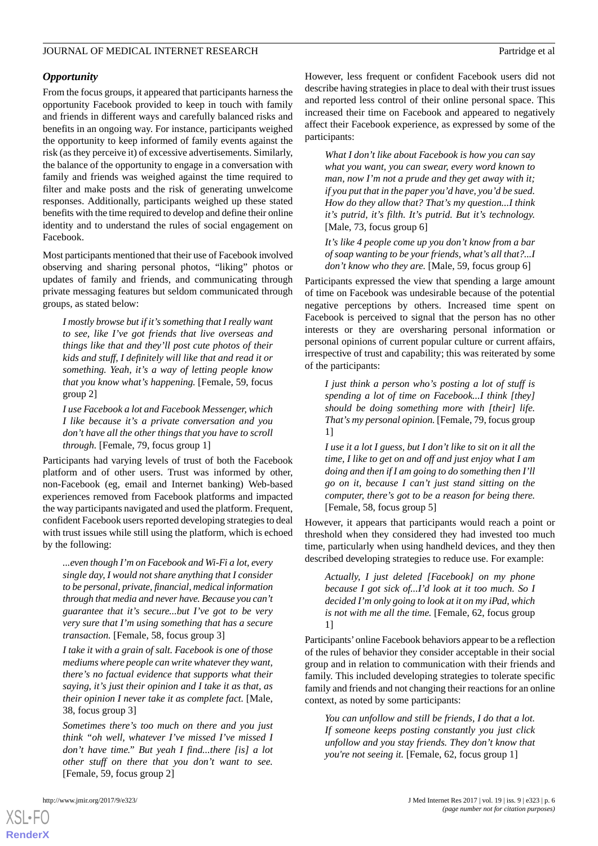## *Opportunity*

From the focus groups, it appeared that participants harness the opportunity Facebook provided to keep in touch with family and friends in different ways and carefully balanced risks and benefits in an ongoing way. For instance, participants weighed the opportunity to keep informed of family events against the risk (as they perceive it) of excessive advertisements. Similarly, the balance of the opportunity to engage in a conversation with family and friends was weighed against the time required to filter and make posts and the risk of generating unwelcome responses. Additionally, participants weighed up these stated benefits with the time required to develop and define their online identity and to understand the rules of social engagement on Facebook.

Most participants mentioned that their use of Facebook involved observing and sharing personal photos, "liking" photos or updates of family and friends, and communicating through private messaging features but seldom communicated through groups, as stated below:

*I mostly browse but if it's something that I really want to see, like I've got friends that live overseas and things like that and they'll post cute photos of their kids and stuff, I definitely will like that and read it or something. Yeah, it's a way of letting people know that you know what's happening.* [Female, 59, focus group 2]

*I use Facebook a lot and Facebook Messenger, which I like because it's a private conversation and you don't have all the other things that you have to scroll through.* [Female, 79, focus group 1]

Participants had varying levels of trust of both the Facebook platform and of other users. Trust was informed by other, non-Facebook (eg, email and Internet banking) Web-based experiences removed from Facebook platforms and impacted the way participants navigated and used the platform. Frequent, confident Facebook users reported developing strategies to deal with trust issues while still using the platform, which is echoed by the following:

*...even though I'm on Facebook and Wi-Fi a lot, every single day, I would not share anything that I consider to be personal, private, financial, medical information through that media and never have. Because you can't guarantee that it's secure...but I've got to be very very sure that I'm using something that has a secure transaction.* [Female, 58, focus group 3]

*I take it with a grain of salt. Facebook is one of those mediums where people can write whatever they want, there's no factual evidence that supports what their saying, it's just their opinion and I take it as that, as their opinion I never take it as complete fact.* [Male, 38, focus group 3]

*Sometimes there's too much on there and you just think "oh well, whatever I've missed I've missed I don't have time." But yeah I find...there [is] a lot other stuff on there that you don't want to see.* [Female, 59, focus group 2]

[XSL](http://www.w3.org/Style/XSL)•FO **[RenderX](http://www.renderx.com/)**

However, less frequent or confident Facebook users did not describe having strategies in place to deal with their trust issues and reported less control of their online personal space. This increased their time on Facebook and appeared to negatively affect their Facebook experience, as expressed by some of the participants:

*What I don't like about Facebook is how you can say what you want, you can swear, every word known to man, now I'm not a prude and they get away with it; if you put that in the paper you'd have, you'd be sued. How do they allow that? That's my question...I think it's putrid, it's filth. It's putrid. But it's technology.* [Male, 73, focus group 6]

*It's like 4 people come up you don't know from a bar of soap wanting to be your friends, what's all that?...I don't know who they are.* [Male, 59, focus group 6]

Participants expressed the view that spending a large amount of time on Facebook was undesirable because of the potential negative perceptions by others. Increased time spent on Facebook is perceived to signal that the person has no other interests or they are oversharing personal information or personal opinions of current popular culture or current affairs, irrespective of trust and capability; this was reiterated by some of the participants:

*I just think a person who's posting a lot of stuff is spending a lot of time on Facebook...I think [they] should be doing something more with [their] life. That's my personal opinion.* [Female, 79, focus group 1]

*I use it a lot I guess, but I don't like to sit on it all the time, I like to get on and off and just enjoy what I am doing and then if I am going to do something then I'll go on it, because I can't just stand sitting on the computer, there's got to be a reason for being there.* [Female, 58, focus group 5]

However, it appears that participants would reach a point or threshold when they considered they had invested too much time, particularly when using handheld devices, and they then described developing strategies to reduce use. For example:

*Actually, I just deleted [Facebook] on my phone because I got sick of...I'd look at it too much. So I decided I'm only going to look at it on my iPad, which is not with me all the time.* [Female, 62, focus group 1]

Participants'online Facebook behaviors appear to be a reflection of the rules of behavior they consider acceptable in their social group and in relation to communication with their friends and family. This included developing strategies to tolerate specific family and friends and not changing their reactions for an online context, as noted by some participants:

*You can unfollow and still be friends, I do that a lot. If someone keeps posting constantly you just click unfollow and you stay friends. They don't know that you're not seeing it.* [Female, 62, focus group 1]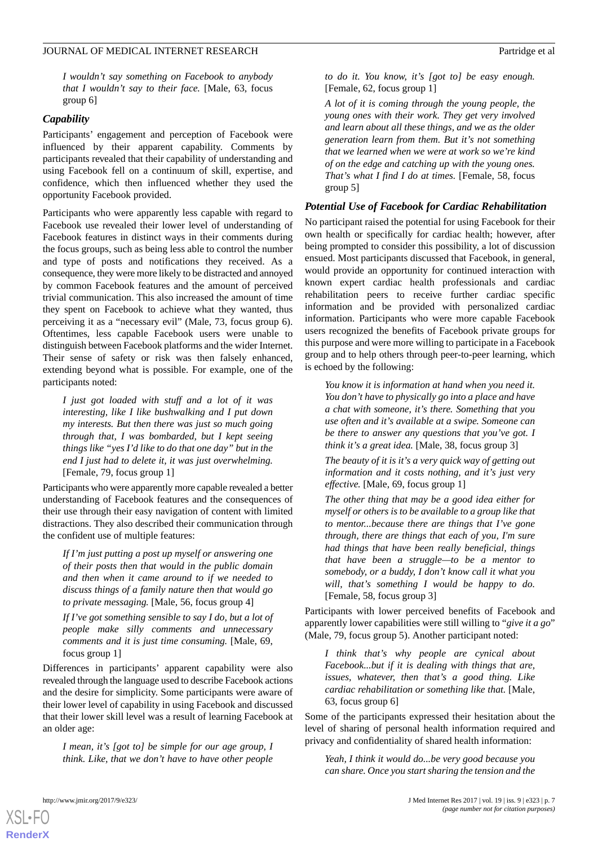*I wouldn't say something on Facebook to anybody that I wouldn't say to their face.* [Male, 63, focus group 6]

#### *Capability*

Participants' engagement and perception of Facebook were influenced by their apparent capability. Comments by participants revealed that their capability of understanding and using Facebook fell on a continuum of skill, expertise, and confidence, which then influenced whether they used the opportunity Facebook provided.

Participants who were apparently less capable with regard to Facebook use revealed their lower level of understanding of Facebook features in distinct ways in their comments during the focus groups, such as being less able to control the number and type of posts and notifications they received. As a consequence, they were more likely to be distracted and annoyed by common Facebook features and the amount of perceived trivial communication. This also increased the amount of time they spent on Facebook to achieve what they wanted, thus perceiving it as a "necessary evil" (Male, 73, focus group 6). Oftentimes, less capable Facebook users were unable to distinguish between Facebook platforms and the wider Internet. Their sense of safety or risk was then falsely enhanced, extending beyond what is possible. For example, one of the participants noted:

*I just got loaded with stuff and a lot of it was interesting, like I like bushwalking and I put down my interests. But then there was just so much going through that, I was bombarded, but I kept seeing things like "yes I'd like to do that one day" but in the end I just had to delete it, it was just overwhelming.* [Female, 79, focus group 1]

Participants who were apparently more capable revealed a better understanding of Facebook features and the consequences of their use through their easy navigation of content with limited distractions. They also described their communication through the confident use of multiple features:

*If I'm just putting a post up myself or answering one of their posts then that would in the public domain and then when it came around to if we needed to discuss things of a family nature then that would go to private messaging.* [Male, 56, focus group 4]

*If I've got something sensible to say I do, but a lot of people make silly comments and unnecessary comments and it is just time consuming.* [Male, 69, focus group 1]

Differences in participants' apparent capability were also revealed through the language used to describe Facebook actions and the desire for simplicity. Some participants were aware of their lower level of capability in using Facebook and discussed that their lower skill level was a result of learning Facebook at an older age:

*I mean, it's [got to] be simple for our age group, I think. Like, that we don't have to have other people* *to do it. You know, it's [got to] be easy enough.* [Female, 62, focus group 1]

*A lot of it is coming through the young people, the young ones with their work. They get very involved and learn about all these things, and we as the older generation learn from them. But it's not something that we learned when we were at work so we're kind of on the edge and catching up with the young ones. That's what I find I do at times.* [Female, 58, focus group 5]

#### *Potential Use of Facebook for Cardiac Rehabilitation*

No participant raised the potential for using Facebook for their own health or specifically for cardiac health; however, after being prompted to consider this possibility, a lot of discussion ensued. Most participants discussed that Facebook, in general, would provide an opportunity for continued interaction with known expert cardiac health professionals and cardiac rehabilitation peers to receive further cardiac specific information and be provided with personalized cardiac information. Participants who were more capable Facebook users recognized the benefits of Facebook private groups for this purpose and were more willing to participate in a Facebook group and to help others through peer-to-peer learning, which is echoed by the following:

*You know it is information at hand when you need it. You don't have to physically go into a place and have a chat with someone, it's there. Something that you use often and it's available at a swipe. Someone can be there to answer any questions that you've got. I think it's a great idea.* [Male, 38, focus group 3]

*The beauty of it is it's a very quick way of getting out information and it costs nothing, and it's just very effective.* [Male, 69, focus group 1]

*The other thing that may be a good idea either for myself or others is to be available to a group like that to mentor...because there are things that I've gone through, there are things that each of you, I'm sure had things that have been really beneficial, things that have been a struggle—to be a mentor to somebody, or a buddy, I don't know call it what you will, that's something I would be happy to do.* [Female, 58, focus group 3]

Participants with lower perceived benefits of Facebook and apparently lower capabilities were still willing to "*give it a go*" (Male, 79, focus group 5). Another participant noted:

*I think that's why people are cynical about Facebook...but if it is dealing with things that are, issues, whatever, then that's a good thing. Like cardiac rehabilitation or something like that.* [Male, 63, focus group 6]

Some of the participants expressed their hesitation about the level of sharing of personal health information required and privacy and confidentiality of shared health information:

*Yeah, I think it would do...be very good because you can share. Once you start sharing the tension and the*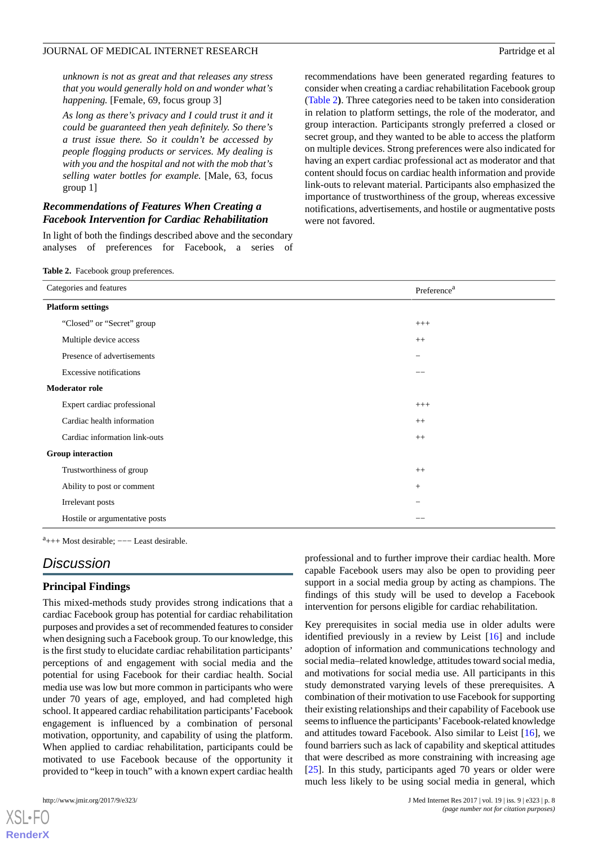*unknown is not as great and that releases any stress that you would generally hold on and wonder what's happening.* [Female, 69, focus group 3]

*As long as there's privacy and I could trust it and it could be guaranteed then yeah definitely. So there's a trust issue there. So it couldn't be accessed by people flogging products or services. My dealing is with you and the hospital and not with the mob that's selling water bottles for example.* [Male, 63, focus group 1]

## *Recommendations of Features When Creating a Facebook Intervention for Cardiac Rehabilitation*

<span id="page-7-0"></span>In light of both the findings described above and the secondary analyses of preferences for Facebook, a series of recommendations have been generated regarding features to consider when creating a cardiac rehabilitation Facebook group ([Table 2](#page-7-0)**)**. Three categories need to be taken into consideration in relation to platform settings, the role of the moderator, and group interaction. Participants strongly preferred a closed or secret group, and they wanted to be able to access the platform on multiple devices. Strong preferences were also indicated for having an expert cardiac professional act as moderator and that content should focus on cardiac health information and provide link-outs to relevant material. Participants also emphasized the importance of trustworthiness of the group, whereas excessive notifications, advertisements, and hostile or augmentative posts were not favored.

**Table 2.** Facebook group preferences.

| Categories and features        | Preference <sup>a</sup> |  |  |  |
|--------------------------------|-------------------------|--|--|--|
| <b>Platform settings</b>       |                         |  |  |  |
| "Closed" or "Secret" group     | $^{+++}$                |  |  |  |
| Multiple device access         | $^{++}$                 |  |  |  |
| Presence of advertisements     |                         |  |  |  |
| <b>Excessive notifications</b> |                         |  |  |  |
| <b>Moderator role</b>          |                         |  |  |  |
| Expert cardiac professional    | $^{+++}$                |  |  |  |
| Cardiac health information     | $^{++}$                 |  |  |  |
| Cardiac information link-outs  | $^{++}$                 |  |  |  |
| <b>Group interaction</b>       |                         |  |  |  |
| Trustworthiness of group       | $++$                    |  |  |  |
| Ability to post or comment     | $+$                     |  |  |  |
| Irrelevant posts               |                         |  |  |  |
| Hostile or argumentative posts |                         |  |  |  |

<sup>a</sup>+++ Most desirable; ---- Least desirable.

## *Discussion*

#### **Principal Findings**

This mixed-methods study provides strong indications that a cardiac Facebook group has potential for cardiac rehabilitation purposes and provides a set of recommended features to consider when designing such a Facebook group. To our knowledge, this is the first study to elucidate cardiac rehabilitation participants' perceptions of and engagement with social media and the potential for using Facebook for their cardiac health. Social media use was low but more common in participants who were under 70 years of age, employed, and had completed high school. It appeared cardiac rehabilitation participants'Facebook engagement is influenced by a combination of personal motivation, opportunity, and capability of using the platform. When applied to cardiac rehabilitation, participants could be motivated to use Facebook because of the opportunity it provided to "keep in touch" with a known expert cardiac health

[XSL](http://www.w3.org/Style/XSL)•FO **[RenderX](http://www.renderx.com/)**

professional and to further improve their cardiac health. More capable Facebook users may also be open to providing peer support in a social media group by acting as champions. The findings of this study will be used to develop a Facebook intervention for persons eligible for cardiac rehabilitation.

Key prerequisites in social media use in older adults were identified previously in a review by Leist [[16\]](#page-10-8) and include adoption of information and communications technology and social media–related knowledge, attitudes toward social media, and motivations for social media use. All participants in this study demonstrated varying levels of these prerequisites. A combination of their motivation to use Facebook for supporting their existing relationships and their capability of Facebook use seems to influence the participants'Facebook-related knowledge and attitudes toward Facebook. Also similar to Leist [\[16](#page-10-8)], we found barriers such as lack of capability and skeptical attitudes that were described as more constraining with increasing age [[25\]](#page-10-17). In this study, participants aged 70 years or older were much less likely to be using social media in general, which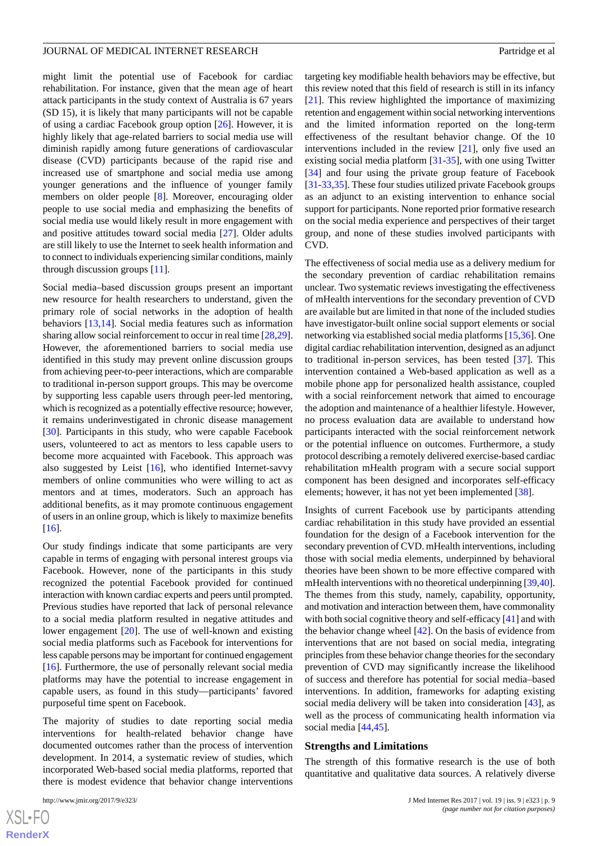might limit the potential use of Facebook for cardiac rehabilitation. For instance, given that the mean age of heart attack participants in the study context of Australia is 67 years (SD 15), it is likely that many participants will not be capable of using a cardiac Facebook group option [[26\]](#page-10-18). However, it is highly likely that age-related barriers to social media use will diminish rapidly among future generations of cardiovascular disease (CVD) participants because of the rapid rise and increased use of smartphone and social media use among younger generations and the influence of younger family members on older people [[8\]](#page-10-0). Moreover, encouraging older people to use social media and emphasizing the benefits of social media use would likely result in more engagement with and positive attitudes toward social media [\[27](#page-10-19)]. Older adults are still likely to use the Internet to seek health information and to connect to individuals experiencing similar conditions, mainly through discussion groups [\[11](#page-10-3)].

Social media–based discussion groups present an important new resource for health researchers to understand, given the primary role of social networks in the adoption of health behaviors [[13](#page-10-5)[,14](#page-10-6)]. Social media features such as information sharing allow social reinforcement to occur in real time [[28,](#page-10-20)[29\]](#page-10-21). However, the aforementioned barriers to social media use identified in this study may prevent online discussion groups from achieving peer-to-peer interactions, which are comparable to traditional in-person support groups. This may be overcome by supporting less capable users through peer-led mentoring, which is recognized as a potentially effective resource; however, it remains underinvestigated in chronic disease management [[30\]](#page-10-22). Participants in this study, who were capable Facebook users, volunteered to act as mentors to less capable users to become more acquainted with Facebook. This approach was also suggested by Leist [\[16](#page-10-8)], who identified Internet-savvy members of online communities who were willing to act as mentors and at times, moderators. Such an approach has additional benefits, as it may promote continuous engagement of users in an online group, which is likely to maximize benefits [[16\]](#page-10-8).

Our study findings indicate that some participants are very capable in terms of engaging with personal interest groups via Facebook. However, none of the participants in this study recognized the potential Facebook provided for continued interaction with known cardiac experts and peers until prompted. Previous studies have reported that lack of personal relevance to a social media platform resulted in negative attitudes and lower engagement [[20\]](#page-10-12). The use of well-known and existing social media platforms such as Facebook for interventions for less capable persons may be important for continued engagement [[16\]](#page-10-8). Furthermore, the use of personally relevant social media platforms may have the potential to increase engagement in capable users, as found in this study—participants' favored purposeful time spent on Facebook.

The majority of studies to date reporting social media interventions for health-related behavior change have documented outcomes rather than the process of intervention development. In 2014, a systematic review of studies, which incorporated Web-based social media platforms, reported that there is modest evidence that behavior change interventions

targeting key modifiable health behaviors may be effective, but this review noted that this field of research is still in its infancy [[21\]](#page-10-13). This review highlighted the importance of maximizing retention and engagement within social networking interventions and the limited information reported on the long-term effectiveness of the resultant behavior change. Of the 10 interventions included in the review [\[21](#page-10-13)], only five used an existing social media platform [[31](#page-10-23)[-35](#page-11-0)], with one using Twitter [[34\]](#page-11-1) and four using the private group feature of Facebook [[31](#page-10-23)[-33](#page-11-2),[35\]](#page-11-0). These four studies utilized private Facebook groups as an adjunct to an existing intervention to enhance social support for participants. None reported prior formative research on the social media experience and perspectives of their target group, and none of these studies involved participants with CVD.

The effectiveness of social media use as a delivery medium for the secondary prevention of cardiac rehabilitation remains unclear. Two systematic reviews investigating the effectiveness of mHealth interventions for the secondary prevention of CVD are available but are limited in that none of the included studies have investigator-built online social support elements or social networking via established social media platforms [\[15](#page-10-7)[,36](#page-11-3)]. One digital cardiac rehabilitation intervention, designed as an adjunct to traditional in-person services, has been tested [[37\]](#page-11-4). This intervention contained a Web-based application as well as a mobile phone app for personalized health assistance, coupled with a social reinforcement network that aimed to encourage the adoption and maintenance of a healthier lifestyle. However, no process evaluation data are available to understand how participants interacted with the social reinforcement network or the potential influence on outcomes. Furthermore, a study protocol describing a remotely delivered exercise-based cardiac rehabilitation mHealth program with a secure social support component has been designed and incorporates self-efficacy elements; however, it has not yet been implemented [\[38](#page-11-5)].

Insights of current Facebook use by participants attending cardiac rehabilitation in this study have provided an essential foundation for the design of a Facebook intervention for the secondary prevention of CVD. mHealth interventions, including those with social media elements, underpinned by behavioral theories have been shown to be more effective compared with mHealth interventions with no theoretical underpinning [[39,](#page-11-6)[40](#page-11-7)]. The themes from this study, namely, capability, opportunity, and motivation and interaction between them, have commonality with both social cognitive theory and self-efficacy [[41\]](#page-11-8) and with the behavior change wheel [[42\]](#page-11-9). On the basis of evidence from interventions that are not based on social media, integrating principles from these behavior change theories for the secondary prevention of CVD may significantly increase the likelihood of success and therefore has potential for social media–based interventions. In addition, frameworks for adapting existing social media delivery will be taken into consideration [[43\]](#page-11-10), as well as the process of communicating health information via social media [[44,](#page-11-11)[45](#page-11-12)].

#### **Strengths and Limitations**

The strength of this formative research is the use of both quantitative and qualitative data sources. A relatively diverse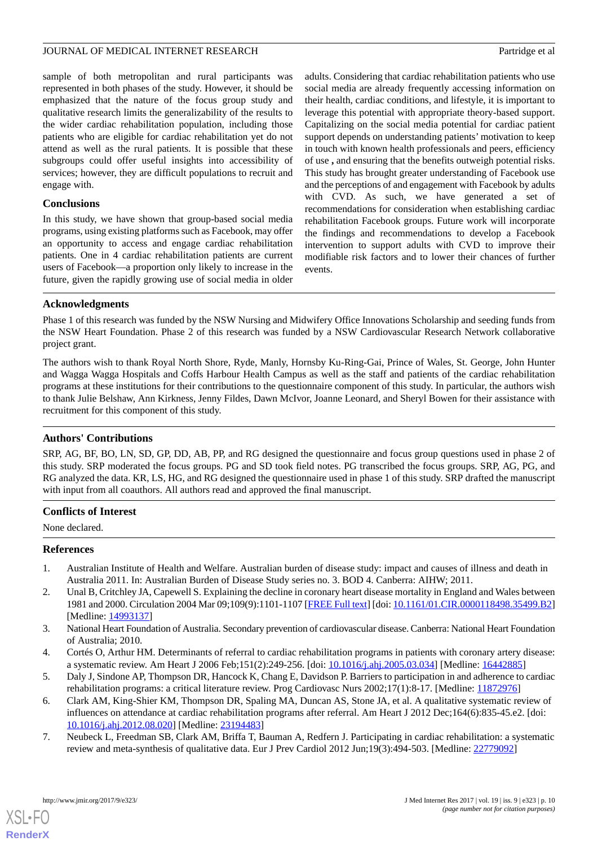sample of both metropolitan and rural participants was represented in both phases of the study. However, it should be emphasized that the nature of the focus group study and qualitative research limits the generalizability of the results to the wider cardiac rehabilitation population, including those patients who are eligible for cardiac rehabilitation yet do not attend as well as the rural patients. It is possible that these subgroups could offer useful insights into accessibility of services; however, they are difficult populations to recruit and engage with.

#### **Conclusions**

In this study, we have shown that group-based social media programs, using existing platforms such as Facebook, may offer an opportunity to access and engage cardiac rehabilitation patients. One in 4 cardiac rehabilitation patients are current users of Facebook—a proportion only likely to increase in the future, given the rapidly growing use of social media in older

adults. Considering that cardiac rehabilitation patients who use social media are already frequently accessing information on their health, cardiac conditions, and lifestyle, it is important to leverage this potential with appropriate theory-based support. Capitalizing on the social media potential for cardiac patient support depends on understanding patients' motivation to keep in touch with known health professionals and peers, efficiency of use **,** and ensuring that the benefits outweigh potential risks. This study has brought greater understanding of Facebook use and the perceptions of and engagement with Facebook by adults with CVD. As such, we have generated a set of recommendations for consideration when establishing cardiac rehabilitation Facebook groups. Future work will incorporate the findings and recommendations to develop a Facebook intervention to support adults with CVD to improve their modifiable risk factors and to lower their chances of further events.

#### **Acknowledgments**

Phase 1 of this research was funded by the NSW Nursing and Midwifery Office Innovations Scholarship and seeding funds from the NSW Heart Foundation. Phase 2 of this research was funded by a NSW Cardiovascular Research Network collaborative project grant.

The authors wish to thank Royal North Shore, Ryde, Manly, Hornsby Ku-Ring-Gai, Prince of Wales, St. George, John Hunter and Wagga Wagga Hospitals and Coffs Harbour Health Campus as well as the staff and patients of the cardiac rehabilitation programs at these institutions for their contributions to the questionnaire component of this study. In particular, the authors wish to thank Julie Belshaw, Ann Kirkness, Jenny Fildes, Dawn McIvor, Joanne Leonard, and Sheryl Bowen for their assistance with recruitment for this component of this study.

#### **Authors' Contributions**

SRP, AG, BF, BO, LN, SD, GP, DD, AB, PP, and RG designed the questionnaire and focus group questions used in phase 2 of this study. SRP moderated the focus groups. PG and SD took field notes. PG transcribed the focus groups. SRP, AG, PG, and RG analyzed the data. KR, LS, HG, and RG designed the questionnaire used in phase 1 of this study. SRP drafted the manuscript with input from all coauthors. All authors read and approved the final manuscript.

#### <span id="page-9-0"></span>**Conflicts of Interest**

<span id="page-9-1"></span>None declared.

#### **References**

- <span id="page-9-2"></span>1. Australian Institute of Health and Welfare. Australian burden of disease study: impact and causes of illness and death in Australia 2011. In: Australian Burden of Disease Study series no. 3. BOD 4. Canberra: AIHW; 2011.
- <span id="page-9-4"></span><span id="page-9-3"></span>2. Unal B, Critchley JA, Capewell S. Explaining the decline in coronary heart disease mortality in England and Wales between 1981 and 2000. Circulation 2004 Mar 09;109(9):1101-1107 [\[FREE Full text\]](http://circ.ahajournals.org/cgi/pmidlookup?view=long&pmid=14993137) [doi: [10.1161/01.CIR.0000118498.35499.B2\]](http://dx.doi.org/10.1161/01.CIR.0000118498.35499.B2) [Medline: [14993137](http://www.ncbi.nlm.nih.gov/entrez/query.fcgi?cmd=Retrieve&db=PubMed&list_uids=14993137&dopt=Abstract)]
- <span id="page-9-5"></span>3. National Heart Foundation of Australia. Secondary prevention of cardiovascular disease. Canberra: National Heart Foundation of Australia; 2010.
- <span id="page-9-6"></span>4. Cortés O, Arthur HM. Determinants of referral to cardiac rehabilitation programs in patients with coronary artery disease: a systematic review. Am Heart J 2006 Feb;151(2):249-256. [doi: [10.1016/j.ahj.2005.03.034\]](http://dx.doi.org/10.1016/j.ahj.2005.03.034) [Medline: [16442885](http://www.ncbi.nlm.nih.gov/entrez/query.fcgi?cmd=Retrieve&db=PubMed&list_uids=16442885&dopt=Abstract)]
- 5. Daly J, Sindone AP, Thompson DR, Hancock K, Chang E, Davidson P. Barriers to participation in and adherence to cardiac rehabilitation programs: a critical literature review. Prog Cardiovasc Nurs 2002;17(1):8-17. [Medline: [11872976](http://www.ncbi.nlm.nih.gov/entrez/query.fcgi?cmd=Retrieve&db=PubMed&list_uids=11872976&dopt=Abstract)]
- 6. Clark AM, King-Shier KM, Thompson DR, Spaling MA, Duncan AS, Stone JA, et al. A qualitative systematic review of influences on attendance at cardiac rehabilitation programs after referral. Am Heart J 2012 Dec;164(6):835-45.e2. [doi: [10.1016/j.ahj.2012.08.020\]](http://dx.doi.org/10.1016/j.ahj.2012.08.020) [Medline: [23194483\]](http://www.ncbi.nlm.nih.gov/entrez/query.fcgi?cmd=Retrieve&db=PubMed&list_uids=23194483&dopt=Abstract)
- 7. Neubeck L, Freedman SB, Clark AM, Briffa T, Bauman A, Redfern J. Participating in cardiac rehabilitation: a systematic review and meta-synthesis of qualitative data. Eur J Prev Cardiol 2012 Jun;19(3):494-503. [Medline: [22779092\]](http://www.ncbi.nlm.nih.gov/entrez/query.fcgi?cmd=Retrieve&db=PubMed&list_uids=22779092&dopt=Abstract)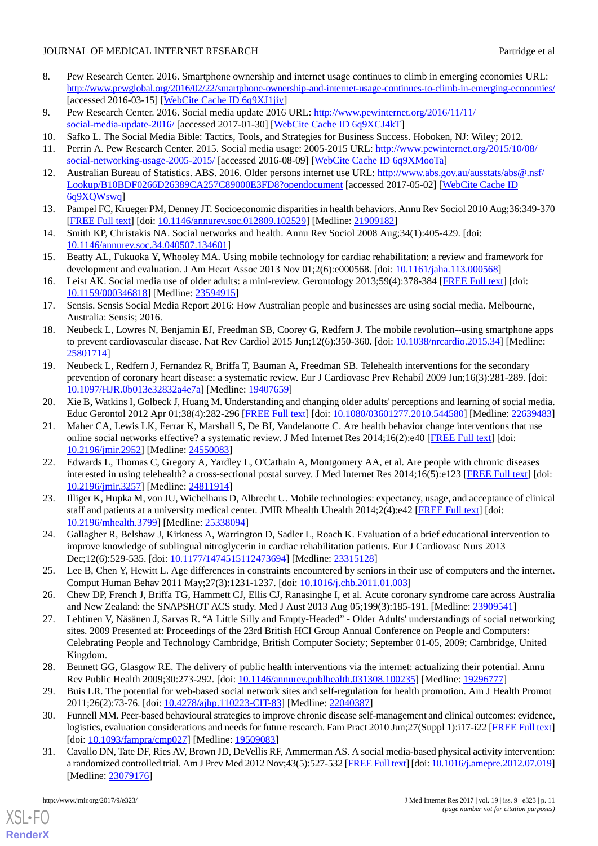- <span id="page-10-0"></span>8. Pew Research Center. 2016. Smartphone ownership and internet usage continues to climb in emerging economies URL: <http://www.pewglobal.org/2016/02/22/smartphone-ownership-and-internet-usage-continues-to-climb-in-emerging-economies/> [accessed 2016-03-15] [\[WebCite Cache ID 6q9XJ1jiy\]](http://www.webcitation.org/

                                6q9XJ1jiy)
- <span id="page-10-2"></span><span id="page-10-1"></span>9. Pew Research Center. 2016. Social media update 2016 URL: [http://www.pewinternet.org/2016/11/11/](http://www.pewinternet.org/2016/11/11/social-media-update-2016/) [social-media-update-2016/](http://www.pewinternet.org/2016/11/11/social-media-update-2016/) [accessed 2017-01-30] [[WebCite Cache ID 6q9XCJ4kT\]](http://www.webcitation.org/

                                6q9XCJ4kT)
- <span id="page-10-3"></span>10. Safko L. The Social Media Bible: Tactics, Tools, and Strategies for Business Success. Hoboken, NJ: Wiley; 2012.
- <span id="page-10-4"></span>11. Perrin A. Pew Research Center. 2015. Social media usage: 2005-2015 URL: [http://www.pewinternet.org/2015/10/08/](http://www.pewinternet.org/2015/10/08/social-networking-usage-2005-2015/) [social-networking-usage-2005-2015/](http://www.pewinternet.org/2015/10/08/social-networking-usage-2005-2015/) [accessed 2016-08-09] [\[WebCite Cache ID 6q9XMooTa\]](http://www.webcitation.org/

                                6q9XMooTa)
- <span id="page-10-5"></span>12. Australian Bureau of Statistics. ABS. 2016. Older persons internet use URL: [http://www.abs.gov.au/ausstats/abs@.nsf/](http://www.abs.gov.au/ausstats/abs@.nsf/Lookup/B10BDF0266D26389CA257C89000E3FD8?opendocument) [Lookup/B10BDF0266D26389CA257C89000E3FD8?opendocument](http://www.abs.gov.au/ausstats/abs@.nsf/Lookup/B10BDF0266D26389CA257C89000E3FD8?opendocument) [accessed 2017-05-02] [[WebCite Cache ID](http://www.webcitation.org/

                                6q9XQWswq) [6q9XQWswq\]](http://www.webcitation.org/

                                6q9XQWswq)
- <span id="page-10-6"></span>13. Pampel FC, Krueger PM, Denney JT. Socioeconomic disparities in health behaviors. Annu Rev Sociol 2010 Aug;36:349-370 [[FREE Full text](http://europepmc.org/abstract/MED/21909182)] [doi: [10.1146/annurev.soc.012809.102529\]](http://dx.doi.org/10.1146/annurev.soc.012809.102529) [Medline: [21909182\]](http://www.ncbi.nlm.nih.gov/entrez/query.fcgi?cmd=Retrieve&db=PubMed&list_uids=21909182&dopt=Abstract)
- <span id="page-10-7"></span>14. Smith KP, Christakis NA. Social networks and health. Annu Rev Sociol 2008 Aug;34(1):405-429. [doi: [10.1146/annurev.soc.34.040507.134601](http://dx.doi.org/10.1146/annurev.soc.34.040507.134601)]
- <span id="page-10-8"></span>15. Beatty AL, Fukuoka Y, Whooley MA. Using mobile technology for cardiac rehabilitation: a review and framework for development and evaluation. J Am Heart Assoc 2013 Nov 01;2(6):e000568. [doi: [10.1161/jaha.113.000568\]](http://dx.doi.org/10.1161/jaha.113.000568)
- <span id="page-10-9"></span>16. Leist AK. Social media use of older adults: a mini-review. Gerontology 2013;59(4):378-384 [[FREE Full text](https://www.karger.com?DOI=10.1159/000346818)] [doi: [10.1159/000346818\]](http://dx.doi.org/10.1159/000346818) [Medline: [23594915\]](http://www.ncbi.nlm.nih.gov/entrez/query.fcgi?cmd=Retrieve&db=PubMed&list_uids=23594915&dopt=Abstract)
- <span id="page-10-10"></span>17. Sensis. Sensis Social Media Report 2016: How Australian people and businesses are using social media. Melbourne, Australia: Sensis; 2016.
- <span id="page-10-11"></span>18. Neubeck L, Lowres N, Benjamin EJ, Freedman SB, Coorey G, Redfern J. The mobile revolution--using smartphone apps to prevent cardiovascular disease. Nat Rev Cardiol 2015 Jun;12(6):350-360. [doi: [10.1038/nrcardio.2015.34\]](http://dx.doi.org/10.1038/nrcardio.2015.34) [Medline: [25801714](http://www.ncbi.nlm.nih.gov/entrez/query.fcgi?cmd=Retrieve&db=PubMed&list_uids=25801714&dopt=Abstract)]
- <span id="page-10-13"></span><span id="page-10-12"></span>19. Neubeck L, Redfern J, Fernandez R, Briffa T, Bauman A, Freedman SB. Telehealth interventions for the secondary prevention of coronary heart disease: a systematic review. Eur J Cardiovasc Prev Rehabil 2009 Jun;16(3):281-289. [doi: [10.1097/HJR.0b013e32832a4e7a\]](http://dx.doi.org/10.1097/HJR.0b013e32832a4e7a) [Medline: [19407659\]](http://www.ncbi.nlm.nih.gov/entrez/query.fcgi?cmd=Retrieve&db=PubMed&list_uids=19407659&dopt=Abstract)
- 20. Xie B, Watkins I, Golbeck J, Huang M. Understanding and changing older adults' perceptions and learning of social media. Educ Gerontol 2012 Apr 01;38(4):282-296 [\[FREE Full text](http://europepmc.org/abstract/MED/22639483)] [doi: [10.1080/03601277.2010.544580\]](http://dx.doi.org/10.1080/03601277.2010.544580) [Medline: [22639483](http://www.ncbi.nlm.nih.gov/entrez/query.fcgi?cmd=Retrieve&db=PubMed&list_uids=22639483&dopt=Abstract)]
- <span id="page-10-14"></span>21. Maher CA, Lewis LK, Ferrar K, Marshall S, De BI, Vandelanotte C. Are health behavior change interventions that use online social networks effective? a systematic review. J Med Internet Res 2014;16(2):e40 [[FREE Full text](http://www.jmir.org/2014/2/e40/)] [doi: [10.2196/jmir.2952](http://dx.doi.org/10.2196/jmir.2952)] [Medline: [24550083](http://www.ncbi.nlm.nih.gov/entrez/query.fcgi?cmd=Retrieve&db=PubMed&list_uids=24550083&dopt=Abstract)]
- <span id="page-10-15"></span>22. Edwards L, Thomas C, Gregory A, Yardley L, O'Cathain A, Montgomery AA, et al. Are people with chronic diseases interested in using telehealth? a cross-sectional postal survey. J Med Internet Res 2014;16(5):e123 [[FREE Full text](http://www.jmir.org/2014/5/e123/)] [doi: [10.2196/jmir.3257](http://dx.doi.org/10.2196/jmir.3257)] [Medline: [24811914](http://www.ncbi.nlm.nih.gov/entrez/query.fcgi?cmd=Retrieve&db=PubMed&list_uids=24811914&dopt=Abstract)]
- <span id="page-10-17"></span><span id="page-10-16"></span>23. Illiger K, Hupka M, von JU, Wichelhaus D, Albrecht U. Mobile technologies: expectancy, usage, and acceptance of clinical staff and patients at a university medical center. JMIR Mhealth Uhealth 2014;2(4):e42 [[FREE Full text](http://mhealth.jmir.org/2014/4/e42/)] [doi: [10.2196/mhealth.3799](http://dx.doi.org/10.2196/mhealth.3799)] [Medline: [25338094](http://www.ncbi.nlm.nih.gov/entrez/query.fcgi?cmd=Retrieve&db=PubMed&list_uids=25338094&dopt=Abstract)]
- <span id="page-10-18"></span>24. Gallagher R, Belshaw J, Kirkness A, Warrington D, Sadler L, Roach K. Evaluation of a brief educational intervention to improve knowledge of sublingual nitroglycerin in cardiac rehabilitation patients. Eur J Cardiovasc Nurs 2013 Dec;12(6):529-535. [doi: [10.1177/1474515112473694\]](http://dx.doi.org/10.1177/1474515112473694) [Medline: [23315128\]](http://www.ncbi.nlm.nih.gov/entrez/query.fcgi?cmd=Retrieve&db=PubMed&list_uids=23315128&dopt=Abstract)
- <span id="page-10-19"></span>25. Lee B, Chen Y, Hewitt L. Age differences in constraints encountered by seniors in their use of computers and the internet. Comput Human Behav 2011 May;27(3):1231-1237. [doi: [10.1016/j.chb.2011.01.003\]](http://dx.doi.org/10.1016/j.chb.2011.01.003)
- <span id="page-10-20"></span>26. Chew DP, French J, Briffa TG, Hammett CJ, Ellis CJ, Ranasinghe I, et al. Acute coronary syndrome care across Australia and New Zealand: the SNAPSHOT ACS study. Med J Aust 2013 Aug 05;199(3):185-191. [Medline: [23909541](http://www.ncbi.nlm.nih.gov/entrez/query.fcgi?cmd=Retrieve&db=PubMed&list_uids=23909541&dopt=Abstract)]
- <span id="page-10-21"></span>27. Lehtinen V, Näsänen J, Sarvas R. "A Little Silly and Empty-Headed" - Older Adults' understandings of social networking sites. 2009 Presented at: Proceedings of the 23rd British HCI Group Annual Conference on People and Computers: Celebrating People and Technology Cambridge, British Computer Society; September 01-05, 2009; Cambridge, United Kingdom.
- <span id="page-10-23"></span><span id="page-10-22"></span>28. Bennett GG, Glasgow RE. The delivery of public health interventions via the internet: actualizing their potential. Annu Rev Public Health 2009;30:273-292. [doi: [10.1146/annurev.publhealth.031308.100235\]](http://dx.doi.org/10.1146/annurev.publhealth.031308.100235) [Medline: [19296777\]](http://www.ncbi.nlm.nih.gov/entrez/query.fcgi?cmd=Retrieve&db=PubMed&list_uids=19296777&dopt=Abstract)
- 29. Buis LR. The potential for web-based social network sites and self-regulation for health promotion. Am J Health Promot 2011;26(2):73-76. [doi: [10.4278/ajhp.110223-CIT-83](http://dx.doi.org/10.4278/ajhp.110223-CIT-83)] [Medline: [22040387](http://www.ncbi.nlm.nih.gov/entrez/query.fcgi?cmd=Retrieve&db=PubMed&list_uids=22040387&dopt=Abstract)]
- 30. Funnell MM. Peer-based behavioural strategies to improve chronic disease self-management and clinical outcomes: evidence, logistics, evaluation considerations and needs for future research. Fam Pract 2010 Jun;27(Suppl 1):i17-i22 [\[FREE Full text](http://europepmc.org/abstract/MED/19509083)] [doi: [10.1093/fampra/cmp027](http://dx.doi.org/10.1093/fampra/cmp027)] [Medline: [19509083](http://www.ncbi.nlm.nih.gov/entrez/query.fcgi?cmd=Retrieve&db=PubMed&list_uids=19509083&dopt=Abstract)]
- 31. Cavallo DN, Tate DF, Ries AV, Brown JD, DeVellis RF, Ammerman AS. A social media-based physical activity intervention: a randomized controlled trial. Am J Prev Med 2012 Nov;43(5):527-532 [\[FREE Full text](http://europepmc.org/abstract/MED/23079176)] [doi: [10.1016/j.amepre.2012.07.019](http://dx.doi.org/10.1016/j.amepre.2012.07.019)] [Medline: [23079176](http://www.ncbi.nlm.nih.gov/entrez/query.fcgi?cmd=Retrieve&db=PubMed&list_uids=23079176&dopt=Abstract)]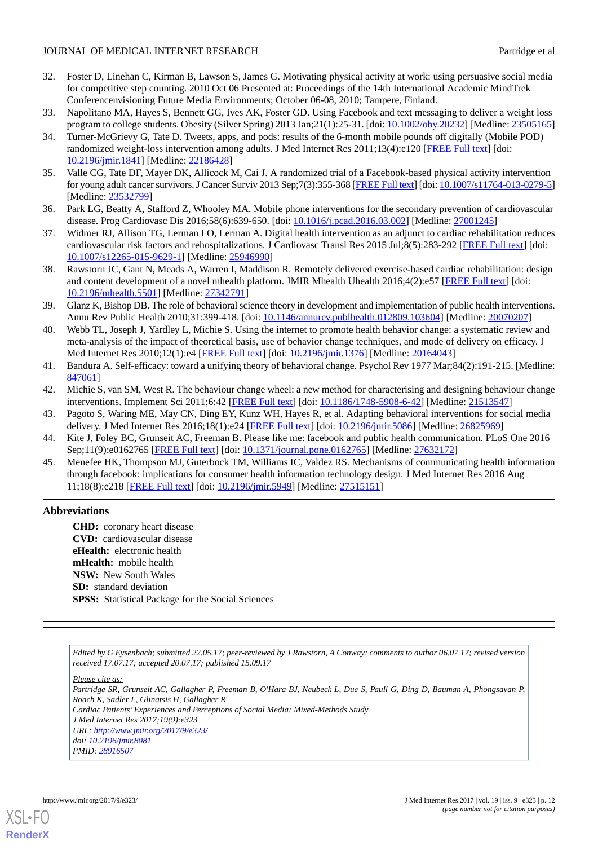- 32. Foster D, Linehan C, Kirman B, Lawson S, James G. Motivating physical activity at work: using persuasive social media for competitive step counting. 2010 Oct 06 Presented at: Proceedings of the 14th International Academic MindTrek Conferencenvisioning Future Media Environments; October 06-08, 2010; Tampere, Finland.
- <span id="page-11-2"></span><span id="page-11-1"></span>33. Napolitano MA, Hayes S, Bennett GG, Ives AK, Foster GD. Using Facebook and text messaging to deliver a weight loss program to college students. Obesity (Silver Spring) 2013 Jan;21(1):25-31. [doi: [10.1002/oby.20232\]](http://dx.doi.org/10.1002/oby.20232) [Medline: [23505165](http://www.ncbi.nlm.nih.gov/entrez/query.fcgi?cmd=Retrieve&db=PubMed&list_uids=23505165&dopt=Abstract)]
- 34. Turner-McGrievy G, Tate D. Tweets, apps, and pods: results of the 6-month mobile pounds off digitally (Mobile POD) randomized weight-loss intervention among adults. J Med Internet Res 2011;13(4):e120 [[FREE Full text](http://www.jmir.org/2011/4/e120/)] [doi: [10.2196/jmir.1841](http://dx.doi.org/10.2196/jmir.1841)] [Medline: [22186428](http://www.ncbi.nlm.nih.gov/entrez/query.fcgi?cmd=Retrieve&db=PubMed&list_uids=22186428&dopt=Abstract)]
- <span id="page-11-3"></span><span id="page-11-0"></span>35. Valle CG, Tate DF, Mayer DK, Allicock M, Cai J. A randomized trial of a Facebook-based physical activity intervention for young adult cancer survivors. J Cancer Surviv 2013 Sep;7(3):355-368 [\[FREE Full text](http://europepmc.org/abstract/MED/23532799)] [doi: [10.1007/s11764-013-0279-5\]](http://dx.doi.org/10.1007/s11764-013-0279-5) [Medline: [23532799](http://www.ncbi.nlm.nih.gov/entrez/query.fcgi?cmd=Retrieve&db=PubMed&list_uids=23532799&dopt=Abstract)]
- <span id="page-11-4"></span>36. Park LG, Beatty A, Stafford Z, Whooley MA. Mobile phone interventions for the secondary prevention of cardiovascular disease. Prog Cardiovasc Dis 2016;58(6):639-650. [doi: [10.1016/j.pcad.2016.03.002](http://dx.doi.org/10.1016/j.pcad.2016.03.002)] [Medline: [27001245\]](http://www.ncbi.nlm.nih.gov/entrez/query.fcgi?cmd=Retrieve&db=PubMed&list_uids=27001245&dopt=Abstract)
- <span id="page-11-5"></span>37. Widmer RJ, Allison TG, Lerman LO, Lerman A. Digital health intervention as an adjunct to cardiac rehabilitation reduces cardiovascular risk factors and rehospitalizations. J Cardiovasc Transl Res 2015 Jul;8(5):283-292 [[FREE Full text](http://europepmc.org/abstract/MED/25946990)] [doi: [10.1007/s12265-015-9629-1\]](http://dx.doi.org/10.1007/s12265-015-9629-1) [Medline: [25946990](http://www.ncbi.nlm.nih.gov/entrez/query.fcgi?cmd=Retrieve&db=PubMed&list_uids=25946990&dopt=Abstract)]
- <span id="page-11-6"></span>38. Rawstorn JC, Gant N, Meads A, Warren I, Maddison R. Remotely delivered exercise-based cardiac rehabilitation: design and content development of a novel mhealth platform. JMIR Mhealth Uhealth 2016;4(2):e57 [\[FREE Full text\]](http://mhealth.jmir.org/2016/2/e57/) [doi: [10.2196/mhealth.5501](http://dx.doi.org/10.2196/mhealth.5501)] [Medline: [27342791](http://www.ncbi.nlm.nih.gov/entrez/query.fcgi?cmd=Retrieve&db=PubMed&list_uids=27342791&dopt=Abstract)]
- <span id="page-11-7"></span>39. Glanz K, Bishop DB. The role of behavioral science theory in development and implementation of public health interventions. Annu Rev Public Health 2010;31:399-418. [doi: [10.1146/annurev.publhealth.012809.103604](http://dx.doi.org/10.1146/annurev.publhealth.012809.103604)] [Medline: [20070207](http://www.ncbi.nlm.nih.gov/entrez/query.fcgi?cmd=Retrieve&db=PubMed&list_uids=20070207&dopt=Abstract)]
- <span id="page-11-8"></span>40. Webb TL, Joseph J, Yardley L, Michie S. Using the internet to promote health behavior change: a systematic review and meta-analysis of the impact of theoretical basis, use of behavior change techniques, and mode of delivery on efficacy. J Med Internet Res 2010;12(1):e4 [[FREE Full text](http://www.jmir.org/2010/1/e4/)] [doi: [10.2196/jmir.1376](http://dx.doi.org/10.2196/jmir.1376)] [Medline: [20164043](http://www.ncbi.nlm.nih.gov/entrez/query.fcgi?cmd=Retrieve&db=PubMed&list_uids=20164043&dopt=Abstract)]
- <span id="page-11-10"></span><span id="page-11-9"></span>41. Bandura A. Self-efficacy: toward a unifying theory of behavioral change. Psychol Rev 1977 Mar;84(2):191-215. [Medline: [847061](http://www.ncbi.nlm.nih.gov/entrez/query.fcgi?cmd=Retrieve&db=PubMed&list_uids=847061&dopt=Abstract)]
- <span id="page-11-11"></span>42. Michie S, van SM, West R. The behaviour change wheel: a new method for characterising and designing behaviour change interventions. Implement Sci 2011;6:42 [\[FREE Full text\]](http://www.implementationscience.com/content/6//42) [doi: [10.1186/1748-5908-6-42](http://dx.doi.org/10.1186/1748-5908-6-42)] [Medline: [21513547\]](http://www.ncbi.nlm.nih.gov/entrez/query.fcgi?cmd=Retrieve&db=PubMed&list_uids=21513547&dopt=Abstract)
- <span id="page-11-12"></span>43. Pagoto S, Waring ME, May CN, Ding EY, Kunz WH, Hayes R, et al. Adapting behavioral interventions for social media delivery. J Med Internet Res 2016;18(1):e24 [\[FREE Full text\]](http://www.jmir.org/2016/1/e24/) [doi: [10.2196/jmir.5086\]](http://dx.doi.org/10.2196/jmir.5086) [Medline: [26825969](http://www.ncbi.nlm.nih.gov/entrez/query.fcgi?cmd=Retrieve&db=PubMed&list_uids=26825969&dopt=Abstract)]
- 44. Kite J, Foley BC, Grunseit AC, Freeman B. Please like me: facebook and public health communication. PLoS One 2016 Sep;11(9):e0162765 [\[FREE Full text](http://dx.plos.org/10.1371/journal.pone.0162765)] [doi: [10.1371/journal.pone.0162765\]](http://dx.doi.org/10.1371/journal.pone.0162765) [Medline: [27632172](http://www.ncbi.nlm.nih.gov/entrez/query.fcgi?cmd=Retrieve&db=PubMed&list_uids=27632172&dopt=Abstract)]
- 45. Menefee HK, Thompson MJ, Guterbock TM, Williams IC, Valdez RS. Mechanisms of communicating health information through facebook: implications for consumer health information technology design. J Med Internet Res 2016 Aug 11;18(8):e218 [\[FREE Full text](http://www.jmir.org/2016/8/e218/)] [doi: [10.2196/jmir.5949](http://dx.doi.org/10.2196/jmir.5949)] [Medline: [27515151](http://www.ncbi.nlm.nih.gov/entrez/query.fcgi?cmd=Retrieve&db=PubMed&list_uids=27515151&dopt=Abstract)]

## **Abbreviations**

**CHD:** coronary heart disease **CVD:** cardiovascular disease **eHealth:** electronic health **mHealth:** mobile health **NSW:** New South Wales **SD:** standard deviation **SPSS:** Statistical Package for the Social Sciences

*Edited by G Eysenbach; submitted 22.05.17; peer-reviewed by J Rawstorn, A Conway; comments to author 06.07.17; revised version received 17.07.17; accepted 20.07.17; published 15.09.17*

*Please cite as:*

*Partridge SR, Grunseit AC, Gallagher P, Freeman B, O'Hara BJ, Neubeck L, Due S, Paull G, Ding D, Bauman A, Phongsavan P, Roach K, Sadler L, Glinatsis H, Gallagher R*

*Cardiac Patients'Experiences and Perceptions of Social Media: Mixed-Methods Study*

*J Med Internet Res 2017;19(9):e323*

*URL: <http://www.jmir.org/2017/9/e323/>*

*doi: [10.2196/jmir.8081](http://dx.doi.org/10.2196/jmir.8081)*

*PMID: [28916507](http://www.ncbi.nlm.nih.gov/entrez/query.fcgi?cmd=Retrieve&db=PubMed&list_uids=28916507&dopt=Abstract)*